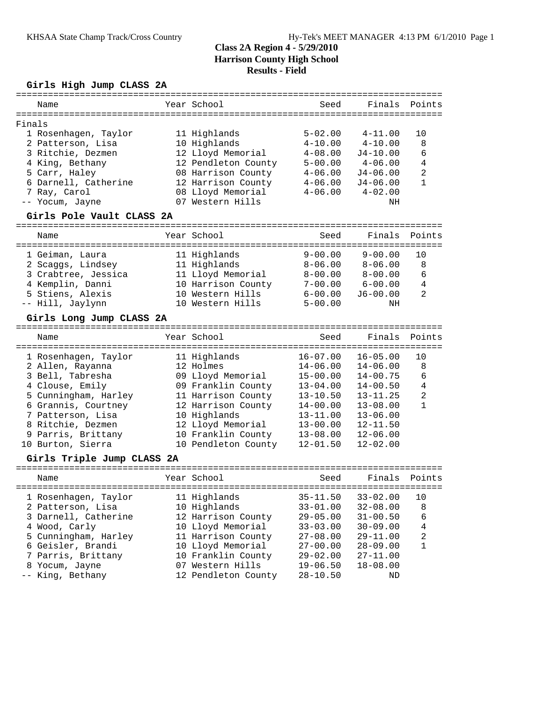# **Girls High Jump CLASS 2A**

| Name   |                            | Year School         | Seed              | Finals       | Points         |
|--------|----------------------------|---------------------|-------------------|--------------|----------------|
|        |                            |                     |                   |              |                |
| Finals |                            |                     |                   |              |                |
|        | 1 Rosenhagen, Taylor       | 11 Highlands        | $5 - 02.00$       | $4 - 11.00$  | 10             |
|        | 2 Patterson, Lisa          | 10 Highlands        | $4 - 10.00$       | $4 - 10.00$  | 8              |
|        | 3 Ritchie, Dezmen          | 12 Lloyd Memorial   | $4 - 08.00$       | $J4 - 10.00$ | 6              |
|        | 4 King, Bethany            | 12 Pendleton County | $5 - 00.00$       | $4 - 06.00$  | $\overline{4}$ |
|        | 5 Carr, Haley              | 08 Harrison County  | $4 - 06.00$       | $J4 - 06.00$ | 2              |
|        | 6 Darnell, Catherine       | 12 Harrison County  | $4 - 06.00$       | $J4 - 06.00$ | $\mathbf{1}$   |
|        | 7 Ray, Carol               | 08 Lloyd Memorial   | $4 - 06.00$       | $4 - 02.00$  |                |
|        | -- Yocum, Jayne            | 07 Western Hills    |                   | ΝH           |                |
|        | Girls Pole Vault CLASS 2A  |                     |                   |              |                |
|        |                            |                     |                   |              |                |
| Name   |                            | Year School         | Seed              | Finals       | Points         |
|        |                            |                     |                   |              |                |
|        | 1 Geiman, Laura            | 11 Highlands        | $9 - 00.00$       | $9 - 00.00$  | 10             |
|        | 2 Scaggs, Lindsey          | 11 Highlands        | $8 - 06.00$       | $8 - 06.00$  | 8              |
|        | 3 Crabtree, Jessica        | 11 Lloyd Memorial   | $8 - 00.00$       | $8 - 00.00$  | 6              |
|        | 4 Kemplin, Danni           | 10 Harrison County  | $7 - 00.00$       | $6 - 00.00$  | $\overline{4}$ |
|        | 5 Stiens, Alexis           | 10 Western Hills    | $6 - 00.00$       | $J6 - 00.00$ | $\overline{2}$ |
|        | -- Hill, Jaylynn           | 10 Western Hills    | $5 - 00.00$       | ΝH           |                |
|        | Girls Long Jump CLASS 2A   |                     |                   |              |                |
|        |                            |                     |                   | -----------  |                |
| Name   |                            | Year School         | Seed              | Finals       | Points         |
|        |                            |                     | . = = = = = = = = |              |                |
|        | 1 Rosenhagen, Taylor       | 11 Highlands        | $16 - 07.00$      | $16 - 05.00$ | 10             |
|        | 2 Allen, Rayanna           | 12 Holmes           | $14 - 06.00$      | $14 - 06.00$ | 8              |
|        | 3 Bell, Tabresha           | 09 Lloyd Memorial   | $15 - 00.00$      | $14 - 00.75$ | 6              |
|        | 4 Clouse, Emily            | 09 Franklin County  | $13 - 04.00$      | $14 - 00.50$ | 4              |
|        | 5 Cunningham, Harley       | 11 Harrison County  | $13 - 10.50$      | $13 - 11.25$ | 2              |
|        | 6 Grannis, Courtney        | 12 Harrison County  | $14 - 00.00$      | $13 - 08.00$ | $\mathbf{1}$   |
|        | 7 Patterson, Lisa          | 10 Highlands        | $13 - 11.00$      | $13 - 06.00$ |                |
|        | 8 Ritchie, Dezmen          | 12 Lloyd Memorial   | $13 - 00.00$      | $12 - 11.50$ |                |
|        | 9 Parris, Brittany         | 10 Franklin County  | $13 - 08.00$      | $12 - 06.00$ |                |
|        | 10 Burton, Sierra          | 10 Pendleton County | $12 - 01.50$      | $12 - 02.00$ |                |
|        |                            |                     |                   |              |                |
|        | Girls Triple Jump CLASS 2A |                     |                   |              |                |
| Name   |                            | Year School         | Seed              | Finals       | Points         |
|        | 1 Rosenhagen, Taylor       | 11 Highlands        | $35 - 11.50$      | $33 - 02.00$ | 10             |
|        | 2 Patterson, Lisa          | 10 Highlands        | $33 - 01.00$      | $32 - 08.00$ | 8              |
|        |                            |                     |                   |              |                |
|        | 3 Darnell, Catherine       | 12 Harrison County  | $29 - 05.00$      | $31 - 00.50$ | 6              |
|        | 4 Wood, Carly              | 10 Lloyd Memorial   | $33 - 03.00$      | $30 - 09.00$ | 4              |
|        | 5 Cunningham, Harley       | 11 Harrison County  | $27 - 08.00$      | $29 - 11.00$ | $\sqrt{2}$     |
|        | 6 Geisler, Brandi          | 10 Lloyd Memorial   | $27 - 00.00$      | $28 - 09.00$ | $\mathbf{1}$   |
|        | 7 Parris, Brittany         | 10 Franklin County  | $29 - 02.00$      | $27 - 11.00$ |                |
|        | 8 Yocum, Jayne             | 07 Western Hills    | $19 - 06.50$      | $18 - 08.00$ |                |
|        | -- King, Bethany           | 12 Pendleton County | 28-10.50          | ΝD           |                |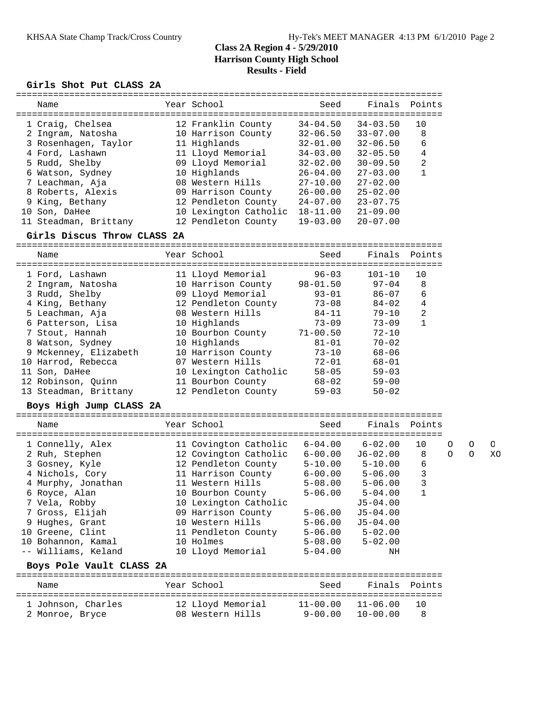#### **Girls Shot Put CLASS 2A**

| Name                  | Year School           | Seed         | Finals       | Points         |
|-----------------------|-----------------------|--------------|--------------|----------------|
| 1 Craig, Chelsea      | 12 Franklin County    | $34 - 04.50$ | $34 - 03.50$ | 10             |
| 2 Ingram, Natosha     | 10 Harrison County    | $32 - 06.50$ | $33 - 07.00$ | 8              |
| 3 Rosenhagen, Taylor  | 11 Highlands          | $32 - 01.00$ | $32 - 06.50$ | 6              |
| 4 Ford, Lashawn       | 11 Lloyd Memorial     | $34 - 03.00$ | $32 - 05.50$ | 4              |
| 5 Rudd, Shelby        | 09 Lloyd Memorial     | $32 - 02.00$ | $30 - 09.50$ | $\overline{2}$ |
| 6 Watson, Sydney      | 10 Highlands          | $26 - 04.00$ | $27 - 03.00$ |                |
| 7 Leachman, Aja       | 08 Western Hills      | $27 - 10.00$ | $27 - 02.00$ |                |
| 8 Roberts, Alexis     | 09 Harrison County    | $26 - 00.00$ | $25 - 02.00$ |                |
| 9 King, Bethany       | 12 Pendleton County   | $24 - 07.00$ | $23 - 07.75$ |                |
| 10 Son, DaHee         | 10 Lexington Catholic | $18 - 11.00$ | $21 - 09.00$ |                |
| 11 Steadman, Brittany | 12 Pendleton County   | $19 - 03.00$ | $20 - 07.00$ |                |

#### **Girls Discus Throw CLASS 2A**

================================================================================ Name Year School Seed Finals Points ================================================================================ 1 Ford, Lashawn 11 Lloyd Memorial 96-03 101-10 10 2 Ingram, Natosha 10 Harrison County 98-01.50 97-04 8 3 Rudd, Shelby 09 Lloyd Memorial 93-01 86-07 6 4 King, Bethany 12 Pendleton County 73-08 84-02 4 5 Leachman, Aja 08 Western Hills 84-11 79-10 2 6 Patterson, Lisa 10 Highlands 73-09 73-09 1 7 Stout, Hannah 10 Bourbon County 71-00.50 72-10 8 Watson, Sydney 10 Highlands 81-01 70-02 9 Mckenney, Elizabeth 10 Harrison County 73-10 68-06 10 Harrod, Rebecca 07 Western Hills 72-01 68-01 11 Son, DaHee 10 Lexington Catholic 58-05 59-03 12 Robinson, Quinn 11 Bourbon County 68-02 59-00 13 Steadman, Brittany 12 Pendleton County 59-03 50-02

#### **Boys High Jump CLASS 2A**

| Name                     |  | Year School           | Seed        | Finals Points           |    |          |          |          |  |
|--------------------------|--|-----------------------|-------------|-------------------------|----|----------|----------|----------|--|
|                          |  |                       |             |                         |    |          |          |          |  |
| 1 Connelly, Alex         |  | 11 Covington Catholic | $6 - 04.00$ | 6-02.00                 | 10 | $\Omega$ | $\circ$  | $\Omega$ |  |
| 2 Ruh, Stephen           |  | 12 Covington Catholic | $6 - 00.00$ | J6-02.00                | 8  | $\Omega$ | $\Omega$ | XC       |  |
| 3 Gosney, Kyle           |  | 12 Pendleton County   |             | $5 - 10.00$ $5 - 10.00$ | 6  |          |          |          |  |
| 4 Nichols, Cory          |  | 11 Harrison County    | $6 - 00.00$ | $5 - 06.00$             | 3  |          |          |          |  |
| 4 Murphy, Jonathan       |  | 11 Western Hills      | 5-08.00     | $5 - 06.00$             | 3  |          |          |          |  |
| 6 Royce, Alan            |  | 10 Bourbon County     | $5 - 06.00$ | 5-04.00                 | 1  |          |          |          |  |
| 7 Vela, Robby            |  | 10 Lexington Catholic |             | $J5 - 04.00$            |    |          |          |          |  |
| 7 Gross, Elijah          |  | 09 Harrison County    | $5 - 06.00$ | $J5-04.00$              |    |          |          |          |  |
| 9 Hughes, Grant          |  | 10 Western Hills      | $5 - 06.00$ | $J5 - 04.00$            |    |          |          |          |  |
| 10 Greene, Clint         |  | 11 Pendleton County   |             | $5 - 06.00$ $5 - 02.00$ |    |          |          |          |  |
| 10 Bohannon, Kamal       |  | 10 Holmes             | $5 - 08.00$ | $5 - 02.00$             |    |          |          |          |  |
| -- Williams, Keland      |  | 10 Lloyd Memorial     | $5 - 04.00$ | ΝH                      |    |          |          |          |  |
| Boys Pole Vault CLASS 2A |  |                       |             |                         |    |          |          |          |  |
|                          |  |                       |             |                         |    |          |          |          |  |
|                          |  |                       |             |                         |    |          |          |          |  |

### Name Year School Seed Finals Points ================================================================================ 1 Johnson, Charles 12 Lloyd Memorial 11-00.00 11-06.00 10 2 Monroe, Bryce 08 Western Hills 9-00.00 10-00.00 8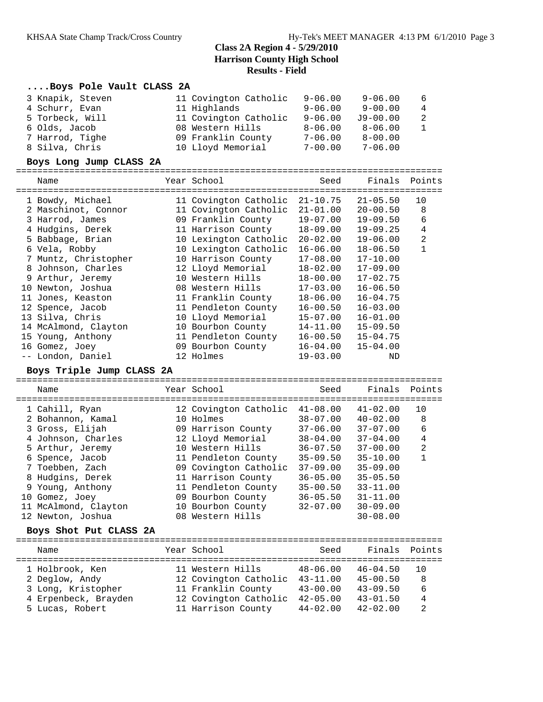### **....Boys Pole Vault CLASS 2A**

| 3 Knapik, Steven | 11 Covington Catholic | $9 - 06.00$ | $9 - 06.00$  | -6             |
|------------------|-----------------------|-------------|--------------|----------------|
| 4 Schurr, Evan   | 11 Highlands          | $9 - 06.00$ | $9 - 00.00$  | $\overline{4}$ |
| 5 Torbeck, Will  | 11 Covington Catholic | $9 - 06.00$ | $J9 - 00.00$ | - 2            |
| 6 Olds, Jacob    | 08 Western Hills      | $8 - 06.00$ | $8 - 06.00$  | 1              |
| 7 Harrod, Tighe  | 09 Franklin County    | $7 - 06.00$ | $8 - 00.00$  |                |
| 8 Silva, Chris   | 10 Lloyd Memorial     | $7 - 00.00$ | $7 - 06.00$  |                |

#### **Boys Long Jump CLASS 2A**

| Name                 | Year School           | Seed         | Finals       | Points         |
|----------------------|-----------------------|--------------|--------------|----------------|
| 1 Bowdy, Michael     | 11 Covington Catholic | $21 - 10.75$ | $21 - 05.50$ | 10             |
| 2 Maschinot, Connor  | 11 Covington Catholic | $21 - 01.00$ | $20 - 00.50$ | 8              |
| 3 Harrod, James      | 09 Franklin County    | 19-07.00     | $19 - 09.50$ | 6              |
| 4 Hudgins, Derek     | 11 Harrison County    | 18-09.00     | $19 - 09.25$ | 4              |
| 5 Babbage, Brian     | 10 Lexington Catholic | $20 - 02.00$ | $19 - 06.00$ | $\overline{2}$ |
| 6 Vela, Robby        | 10 Lexington Catholic | $16 - 06.00$ | $18 - 06.50$ |                |
| 7 Muntz, Christopher | 10 Harrison County    | $17 - 08.00$ | $17 - 10.00$ |                |
| 8 Johnson, Charles   | 12 Lloyd Memorial     | $18 - 02.00$ | $17 - 09.00$ |                |
| 9 Arthur, Jeremy     | 10 Western Hills      | 18-00.00     | $17 - 02.75$ |                |
| 10 Newton, Joshua    | 08 Western Hills      | 17-03.00     | $16 - 06.50$ |                |
| 11 Jones, Keaston    | 11 Franklin County    | $18 - 06.00$ | $16 - 04.75$ |                |
| 12 Spence, Jacob     | 11 Pendleton County   | $16 - 00.50$ | $16 - 03.00$ |                |
| 13 Silva, Chris      | 10 Lloyd Memorial     | 15-07.00     | $16 - 01.00$ |                |
| 14 McAlmond, Clayton | 10 Bourbon County     | 14-11.00     | $15 - 09.50$ |                |
| 15 Young, Anthony    | 11 Pendleton County   | $16 - 00.50$ | $15 - 04.75$ |                |
| 16 Gomez, Joey       | 09 Bourbon County     | $16 - 04.00$ | $15 - 04.00$ |                |
| -- London, Daniel    | 12 Holmes             | $19 - 03.00$ | ND           |                |

#### **Boys Triple Jump CLASS 2A**

================================================================================ Name Year School Seed Finals Points ================================================================================ 1 Cahill, Ryan 12 Covington Catholic 41-08.00 41-02.00 10 2 Bohannon, Kamal 10 Holmes 38-07.00 40-02.00 8 3 Gross, Elijah 09 Harrison County 37-06.00 37-07.00 6 4 Johnson, Charles 12 Lloyd Memorial 38-04.00 37-04.00 4 5 Arthur, Jeremy 10 Western Hills 36-07.50 37-00.00 2 6 Spence, Jacob 11 Pendleton County 35-09.50 35-10.00 1 7 Toebben, Zach 09 Covington Catholic 37-09.00 35-09.00 8 Hudgins, Derek 11 Harrison County 36-05.00 35-05.50 9 Young, Anthony 11 Pendleton County 35-00.50 33-11.00 10 Gomez, Joey 09 Bourbon County 36-05.50 31-11.00 11 McAlmond, Clayton 10 Bourbon County 32-07.00 30-09.00 12 Newton, Joshua 08 Western Hills 30-08.00

#### **Boys Shot Put CLASS 2A**

| Name                 | Year School           | Seed         | Finals Points |     |
|----------------------|-----------------------|--------------|---------------|-----|
| 1 Holbrook, Ken      | 11 Western Hills      | $48 - 06.00$ | $46 - 04.50$  | 1 O |
| 2 Deglow, Andy       | 12 Covington Catholic | $43 - 11.00$ | $45 - 00.50$  | 8   |
| 3 Long, Kristopher   | 11 Franklin County    | $43 - 00.00$ | $43 - 09.50$  | 6   |
| 4 Erpenbeck, Brayden | 12 Covington Catholic | $42 - 05.00$ | $43 - 01.50$  | 4   |
| 5 Lucas, Robert      | 11 Harrison County    | $44 - 02.00$ | $42 - 02.00$  | 2   |